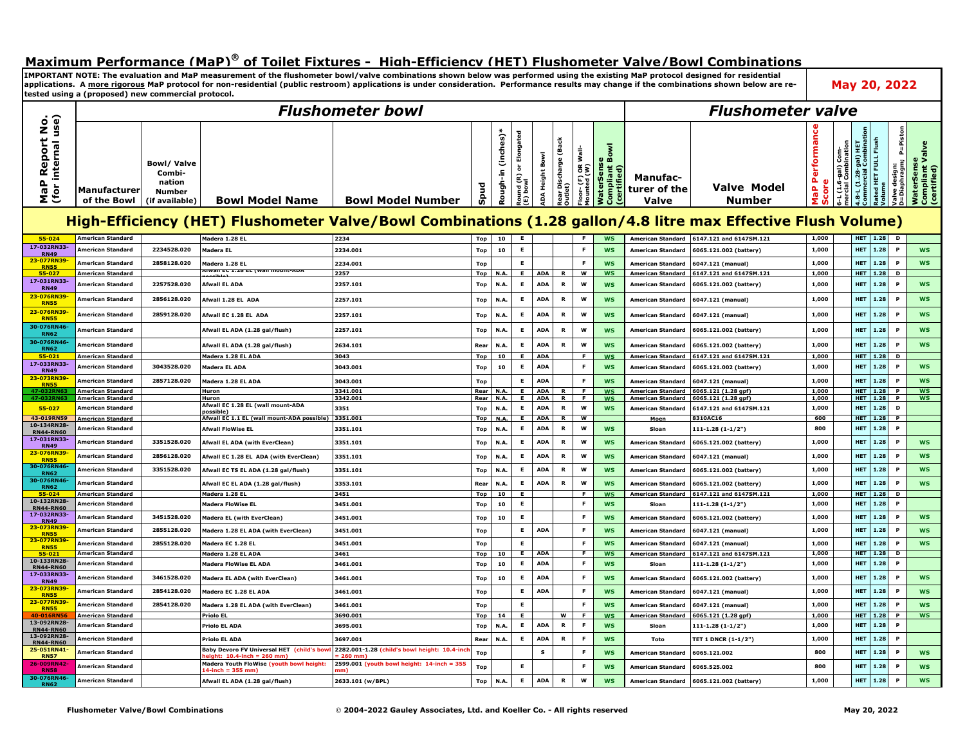## **Maximum Performance (MaP)® of Toilet Fixtures - High-Efficiency (HET) Flushometer Valve/Bowl Combinations**

**IMPORTANT NOTE: The evaluation and MaP measurement of the flushometer bowl/valve combinations shown below was performed using the existing MaP protocol designed for residential**  applications. A more rigorous MaP protocol for non-residential (public restroom) applications is under consideration. Performance results may change if the combinations shown below are re**tested using a (proposed) new commercial protocol.** 

|                                                   |                                        |                                                                          |                                                                     | <b>Flushometer bowl</b>                                                                                      |             |                          |                                                  |                          |                                    |                                    |                                                    | <b>Flushometer valve</b>                      |                                            |                                 |                                         |                                              |                                |                                           |                                              |  |
|---------------------------------------------------|----------------------------------------|--------------------------------------------------------------------------|---------------------------------------------------------------------|--------------------------------------------------------------------------------------------------------------|-------------|--------------------------|--------------------------------------------------|--------------------------|------------------------------------|------------------------------------|----------------------------------------------------|-----------------------------------------------|--------------------------------------------|---------------------------------|-----------------------------------------|----------------------------------------------|--------------------------------|-------------------------------------------|----------------------------------------------|--|
| nternal use)<br>eport No<br>ě<br>Δ<br>MaP<br>(for | Manufacturer<br>of the Bowl            | <b>Bowl/Valve</b><br>Combi-<br>nation<br><b>Number</b><br>(if available) | <b>Bowl Model Name</b>                                              | <b>Bowl Model Number</b>                                                                                     | န္တ         | (inches)*<br>투<br>Rough- | Elongated<br>ò<br>Round (R) <b>c</b><br>(E) bowl | Bowl<br>DA Height        | (Back<br>tear Discharge<br>)utlet) | -loor- (F) OR Wall-<br>Mounted (W) | aterSense<br>mpliant Bowl<br>mpliant I<br>rtified) | <b>Manufac-</b><br>turer of the<br>Valve      | Valve Model<br>Number                      | Performan<br>ω<br>MaP<br>ā<br>ທ | -L (1.6-gal) Com-<br>ercial Combination | 4.8-L (1.28-gal) HET<br>Commercial Combinati | Rated HET FULL Flush<br>Volume | P=Piston<br>Valve design:<br>D=Diaphragm; | WaterSense<br>Compliant Valve<br>(certified) |  |
|                                                   |                                        |                                                                          |                                                                     | High-Efficiency (HET) Flushometer Valve/Bowl Combinations (1.28 gallon/4.8 litre max Effective Flush Volume) |             |                          |                                                  |                          |                                    |                                    |                                                    |                                               |                                            |                                 |                                         |                                              |                                |                                           |                                              |  |
| 55-024                                            | American Standard                      |                                                                          | Madera 1.28 EL                                                      | 2234                                                                                                         | Top         | 10                       |                                                  |                          |                                    |                                    | <b>WS</b>                                          | <b>American Standard</b>                      | 6147.121 and 6147SM.121                    | 1,000                           |                                         | <b>HET</b>                                   | 1.28                           | D                                         |                                              |  |
| 17-032RN33-<br><b>RN49</b>                        | American Standard                      | 2234528.020                                                              | Madera EL                                                           | 2234.001                                                                                                     | <b>Top</b>  | 10                       | $\mathsf E$                                      |                          |                                    | E                                  | <b>WS</b>                                          | American Standard                             | 6065.121.002 (battery)                     | 1,000                           |                                         | <b>HET</b>                                   | 1.28                           | P                                         | <b>WS</b>                                    |  |
| 23-077RN39-<br><b>RN55</b>                        | American Standard                      | 2858128.020                                                              | Madera 1.28 EL                                                      | 2234.001                                                                                                     | Top         |                          | E.                                               |                          |                                    | F                                  | <b>WS</b>                                          | <b>American Standard</b>                      | 6047.121 (manual)                          | 1,000                           |                                         | <b>HET</b>                                   | 1.28                           | P                                         | <b>WS</b>                                    |  |
| 55-027<br>17-031RN33-                             | American Standard                      |                                                                          | Alwall EC 1.20 EL (Wall MOUNt-AD)                                   | 2257                                                                                                         | Top         | <b>N.A.</b>              | Е.                                               | <b>ADA</b>               | <b>R</b>                           | $\overline{\mathsf{w}}$            | <b>WS</b>                                          | <b>American Standard</b>                      | 6147.121 and 6147SM.121                    | 1,000                           |                                         |                                              | <b>HET</b> 1.28                | D                                         |                                              |  |
| <b>RN49</b>                                       | American Standard                      | 2257528.020                                                              | <b>Afwall EL ADA</b>                                                | 2257.101                                                                                                     | Top         | N.A.                     | E                                                | <b>ADA</b>               | $\mathbf R$                        | W                                  | <b>WS</b>                                          | <b>American Standard</b>                      | 6065.121.002 (battery)                     | 1,000                           |                                         | <b>HET</b>                                   | 1.28                           | P                                         | <b>WS</b>                                    |  |
| 23-076RN39<br><b>RN55</b>                         | American Standard                      | 2856128.020                                                              | Afwall 1.28 EL ADA                                                  | 2257.101                                                                                                     | Top         | N.A.                     | E                                                | <b>ADA</b>               | R                                  | W                                  | <b>WS</b>                                          | <b>American Standard</b>                      | 6047.121 (manual)                          | 1,000                           |                                         | <b>HET</b>                                   | 1.28                           | P                                         | <b>WS</b>                                    |  |
| 23-076RN39-<br><b>RN55</b>                        | American Standard                      | 2859128.020                                                              | Afwall EC 1.28 EL ADA                                               | 2257.101                                                                                                     | <b>Top</b>  | N.A.                     | E                                                | <b>ADA</b>               | $\mathbf R$                        | W                                  | <b>WS</b>                                          | <b>American Standard</b>                      | 6047.121 (manual)                          | 1,000                           |                                         | <b>HET</b>                                   | 1.28                           | P                                         | <b>WS</b>                                    |  |
| 30-076RN46-<br><b>RN62</b>                        | American Standard                      |                                                                          | Afwall EL ADA (1.28 gal/flush)                                      | 2257.101                                                                                                     | Top         | N.A.                     | E                                                | <b>ADA</b>               | $\mathbf R$                        | W                                  | <b>WS</b>                                          | <b>American Standard</b>                      | 6065.121.002 (battery)                     | 1,000                           |                                         | <b>HET</b>                                   | 1.28                           | $\mathbf{P}$                              | <b>WS</b>                                    |  |
| 30-076RN46-<br><b>RN62</b>                        | <b>American Standard</b>               |                                                                          | Afwall EL ADA (1.28 gal/flush)                                      | 2634.101                                                                                                     | Rear        | N.A.                     | E                                                | <b>ADA</b>               | $\mathbf R$                        | W                                  | <b>WS</b>                                          | <b>American Standard</b>                      | 6065.121.002 (battery)                     | 1,000                           |                                         | <b>HET</b>                                   | 1.28                           | $\mathbf{P}$                              | <b>WS</b>                                    |  |
| 55-021                                            | American Standard                      |                                                                          | Madera 1.28 EL ADA                                                  | 3043                                                                                                         | <b>Top</b>  | 10                       | E                                                | <b>ADA</b>               |                                    | E                                  | <b>WS</b>                                          | <b>American Standard</b>                      | 6147.121 and 6147SM.121                    | 1,000                           |                                         | <b>HET</b>                                   | 1.28                           | D                                         |                                              |  |
| 17-033RN33-<br><b>RN49</b>                        | American Standard                      | 3043528.020                                                              | Madera EL ADA                                                       | 3043.001                                                                                                     | <b>Top</b>  | 10                       | E                                                | <b>ADA</b>               |                                    | F                                  | <b>WS</b>                                          | <b>American Standard</b>                      | 6065.121.002 (battery)                     | 1,000                           |                                         | <b>HET</b>                                   | 1.28                           | P                                         | <b>WS</b>                                    |  |
| 23-073RN39-<br><b>RN55</b>                        | American Standard                      | 2857128.020                                                              | Madera 1.28 EL ADA                                                  | 3043.001                                                                                                     | Top         |                          | E.                                               | <b>ADA</b>               |                                    | F                                  | <b>WS</b>                                          | <b>American Standard</b>                      | 6047.121 (manual)                          | 1,000                           |                                         | <b>HET</b>                                   | 1.28                           | P                                         | <b>WS</b>                                    |  |
| 47-032RN63<br>47-032RN                            | American Standard<br>American Standard |                                                                          | Huron<br>Huron                                                      | 3341.001<br>3342.001                                                                                         | Rear<br>Rea | N.A.<br>N.A.             | E<br>E                                           | <b>ADA</b><br><b>ADA</b> | R<br>R                             | F.<br>-F                           | <b>WS</b><br><b>WS</b>                             | <b>American Standard</b><br>American Standard | 6065.121 (1.28 gpf)<br>6065.121 (1.28 gpf) | 1,000<br>1.000                  |                                         | <b>HET</b>                                   | <b>HET</b> 1.28<br>1.28        | P<br>P                                    | <b>WS</b><br><b>WS</b>                       |  |
| 55-027                                            | American Standard                      |                                                                          | Afwall EC 1.28 EL (wall mount-ADA                                   | 3351                                                                                                         | <b>Top</b>  | N.A.                     | E                                                | <b>ADA</b>               | R                                  | w                                  | <b>WS</b>                                          | <b>American Standard</b>                      | 6147.121 and 6147SM.121                    | 1,000                           |                                         | <b>HET</b>                                   | 1.28                           | D                                         |                                              |  |
| 43-019RN59                                        | American Standard                      |                                                                          | possible<br>Afwall EC 1.1 EL (wall mount-ADA possible)              | 3351.001                                                                                                     | Top         | N.A.                     | Е                                                | <b>ADA</b>               | $\overline{R}$                     | W                                  |                                                    | Moen                                          | 8310AC16                                   | 600                             |                                         |                                              | <b>HET</b> 1.28                | $\mathbf{P}$                              |                                              |  |
| 10-134RN28-<br><b>RN44-RN60</b>                   | American Standard                      |                                                                          | <b>Afwall FloWise EL</b>                                            | 3351.101                                                                                                     | Top         | N.A.                     | E                                                | <b>ADA</b>               | R                                  | W                                  | <b>WS</b>                                          | Sloan                                         | $111 - 1.28(1 - 1/2")$                     | 800                             |                                         | <b>HET</b>                                   | 1.28                           |                                           |                                              |  |
| 17-031RN33-<br><b>RN49</b>                        | American Standard                      | 3351528.020                                                              | Afwall EL ADA (with EverClean)                                      | 3351.101                                                                                                     | Top         | N.A.                     | E                                                | <b>ADA</b>               | $\mathbf R$                        | W                                  | <b>WS</b>                                          | <b>American Standard</b>                      | 6065.121.002 (battery)                     | 1.000                           |                                         | <b>HET</b>                                   | 1.28                           | P                                         | <b>WS</b>                                    |  |
| 23-076RN39<br><b>RN55</b>                         | American Standard                      | 2856128.020                                                              | Afwall EC 1.28 EL ADA (with EverClean)                              | 3351.101                                                                                                     | <b>Top</b>  | N.A                      | E                                                | <b>ADA</b>               | R                                  | W                                  | <b>WS</b>                                          | <b>American Standard</b>                      | 6047.121 (manual)                          | 1.000                           |                                         | <b>HET</b>                                   | 1.28                           |                                           | <b>WS</b>                                    |  |
| 30-076RN46<br><b>RN62</b>                         | American Standard                      | 3351528.020                                                              | Afwall EC TS EL ADA (1.28 gal/flush)                                | 3351.101                                                                                                     | Top         | N.A.                     | E                                                | <b>ADA</b>               | $\mathbf R$                        | W                                  | <b>WS</b>                                          | <b>American Standard</b>                      | 6065.121.002 (battery)                     | 1.000                           |                                         | <b>HET</b>                                   | 1.28                           | P                                         | <b>WS</b>                                    |  |
| 30-076RN46-<br><b>RN62</b>                        | American Standard                      |                                                                          | Afwall EC EL ADA (1.28 gal/flush)                                   | 3353.101                                                                                                     | Rea         | N.A.                     | E                                                | <b>ADA</b>               | $\mathbf R$                        | W                                  | <b>WS</b>                                          | <b>American Standard</b>                      | 6065.121.002 (battery)                     | 1,000                           |                                         | <b>HET</b>                                   | 1.28                           |                                           | <b>WS</b>                                    |  |
| 55-024                                            | American Standard                      |                                                                          | Madera 1.28 EL                                                      | 3451                                                                                                         | Top         | 10                       | Е.                                               |                          |                                    | E                                  | <b>WS</b>                                          | <b>American Standard</b>                      | 6147.121 and 6147SM.121                    | 1,000                           |                                         |                                              | <b>HET</b> 1.28                | D                                         |                                              |  |
| 10-132RN28-<br><b>RN44-RN60</b>                   | American Standard                      |                                                                          | <b>Madera FloWise EL</b>                                            | 3451.001                                                                                                     | Top         | 10                       | E                                                |                          |                                    | F                                  | <b>WS</b>                                          | Sloan                                         | $111 - 1.28(1 - 1/2")$                     | 1,000                           |                                         | <b>HET</b>                                   | 1.28                           | P                                         |                                              |  |
| 17-032RN33-<br><b>RN49</b>                        | American Standard                      | 3451528.020                                                              | <b>Madera EL (with EverClean)</b>                                   | 3451.001                                                                                                     | Top         | 10                       | E                                                |                          |                                    | F                                  | <b>WS</b>                                          | <b>American Standard</b>                      | 6065.121.002 (battery)                     | 1,000                           |                                         | <b>HET</b>                                   | 1.28                           | $\mathbf{P}$                              | <b>WS</b>                                    |  |
| 23-073RN39<br><b>RN55</b>                         | American Standard                      | 2855128.020                                                              | Madera 1.28 EL ADA (with EverClean)                                 | 3451.001                                                                                                     | Top         |                          | E.                                               | <b>ADA</b>               |                                    | E                                  | WS                                                 | <b>American Standard</b>                      | 6047.121 (manual)                          | 1,000                           |                                         | <b>HET</b>                                   | 1.28                           |                                           | <b>WS</b>                                    |  |
| 23-077RN39-<br><b>RN55</b>                        | American Standard                      | 2855128.020                                                              | Madera EC 1.28 EL                                                   | 3451.001                                                                                                     | <b>Top</b>  |                          | E                                                |                          |                                    | F                                  | <b>WS</b>                                          | <b>American Standard</b>                      | 6047.121 (manual)                          | 1,000                           |                                         | <b>HET</b>                                   | 1.28                           | P                                         | <b>WS</b>                                    |  |
| 55-021                                            | American Standard                      |                                                                          | Madera 1.28 EL ADA                                                  | 3461                                                                                                         | Top         | 10                       | $\overline{E}$                                   | <b>ADA</b>               |                                    | F                                  | <b>WS</b>                                          | <b>American Standard</b>                      | 6147.121 and 6147SM.121                    | 1,000                           |                                         | <b>HET</b>                                   | 1.28                           | D                                         |                                              |  |
| 10-133RN28-<br><b>RN44-RN60</b>                   | American Standard                      |                                                                          | Madera FloWise EL ADA                                               | 3461.001                                                                                                     | <b>Top</b>  | 10                       | E                                                | <b>ADA</b>               |                                    | F                                  | <b>WS</b>                                          | Sloar                                         | 111-1.28 (1-1/2")                          | 1,000                           |                                         | <b>HET</b>                                   | 1.28                           | $\mathbf{P}$                              |                                              |  |
| 17-033RN33-<br><b>RN49</b>                        | American Standard                      | 3461528.020                                                              | Madera EL ADA (with EverClean)                                      | 3461.001                                                                                                     | Top         | 10                       | E                                                | <b>ADA</b>               |                                    | F                                  | <b>WS</b>                                          | <b>American Standard</b>                      | 6065.121.002 (battery)                     | 1,000                           |                                         | <b>HET</b>                                   | 1.28                           | P                                         | <b>WS</b>                                    |  |
| 23-073RN39<br><b>RN55</b>                         | American Standard                      | 2854128.020                                                              | Madera EC 1.28 EL ADA                                               | 3461.001                                                                                                     | Top         |                          | E                                                | <b>ADA</b>               |                                    | E                                  | <b>WS</b>                                          | <b>American Standard</b>                      | 6047.121 (manual)                          | 1,000                           |                                         | <b>HET</b>                                   | 1.28                           | P                                         | <b>WS</b>                                    |  |
| 23-077RN39-<br><b>RN55</b>                        | American Standard                      | 2854128.020                                                              | Madera 1.28 EL ADA (with EverClean)                                 | 3461.001                                                                                                     | <b>Top</b>  |                          | $\mathsf E$                                      |                          |                                    | F                                  | <b>WS</b>                                          | <b>American Standard</b>                      | 6047.121 (manual)                          | 1,000                           |                                         | <b>HET</b>                                   | 1.28                           | P                                         | <b>WS</b>                                    |  |
| 40-016RN56<br>13-092RN28-                         | American Standard                      |                                                                          | <b>Priolo EL</b>                                                    | 3690.001                                                                                                     | Top         | 14                       | E                                                |                          | W                                  | $\overline{F}$                     | <b>WS</b>                                          | <b>American Standard</b>                      | 6065.121 (1.28 gpf)                        | 1,000                           |                                         | <b>HET</b>                                   | 1.28                           | P                                         | <b>WS</b>                                    |  |
| <b>RN44-RN60</b><br>13-092RN28-                   | American Standard                      |                                                                          | <b>Priolo EL ADA</b>                                                | 3695.001                                                                                                     | Top         | N.A.                     | E                                                | <b>ADA</b>               | R                                  | F.                                 | WS                                                 | Sloan                                         | $111 - 1.28(1 - 1/2")$                     | 1,000                           |                                         | <b>HET</b>                                   | 1.28                           | P                                         |                                              |  |
| <b>RN44-RN60</b>                                  | American Standard                      |                                                                          | <b>Priolo EL ADA</b>                                                | 3697.001                                                                                                     | Rear        | N.A.                     | $\mathsf E$                                      | <b>ADA</b>               | R                                  | F                                  | <b>WS</b>                                          | Toto                                          | TET 1 DNCR (1-1/2")                        | 1,000                           |                                         | <b>HET</b>                                   | 1.28                           | P                                         |                                              |  |
| 25-051RN41-<br><b>RN57</b>                        | American Standard                      |                                                                          | Baby Devoro FV Universal HET (child's bow<br>ht: 10.4-inch = 260 mm | 2282.001-1.28 (child's bowl height: 10.4-ine<br>$(260$ mm)                                                   | <b>Top</b>  |                          |                                                  | s                        |                                    | E                                  | <b>WS</b>                                          | <b>American Standard</b>                      | 6065.121.002                               | 800                             |                                         | <b>HET</b>                                   | 1.28                           | P                                         | <b>WS</b>                                    |  |
| 26-009RN42-<br><b>RN58</b>                        | <b>American Standard</b>               |                                                                          | Madera Youth FloWise (youth bowl height:                            | 2599.001 (youth bowl height: 14-inch = 355                                                                   | <b>Top</b>  |                          | E                                                |                          |                                    | F                                  | <b>WS</b>                                          | <b>American Standard</b>                      | 6065.525.002                               | 800                             |                                         | <b>HET</b>                                   | 1.28                           | P                                         | <b>WS</b>                                    |  |
| 30-076RN46-<br><b>RN62</b>                        | American Standard                      |                                                                          | Afwall EL ADA (1.28 gal/flush)                                      | 2633.101 (w/BPL)                                                                                             | Top         | N.A.                     | E                                                | <b>ADA</b>               | $\, {\bf R}$                       | w                                  | <b>WS</b>                                          | <b>American Standard</b>                      | 6065.121.002 (battery)                     | 1,000                           |                                         | <b>HET</b>                                   | 1.28                           | $\mathbf{P}$                              | <b>WS</b>                                    |  |

**May 20, 2022**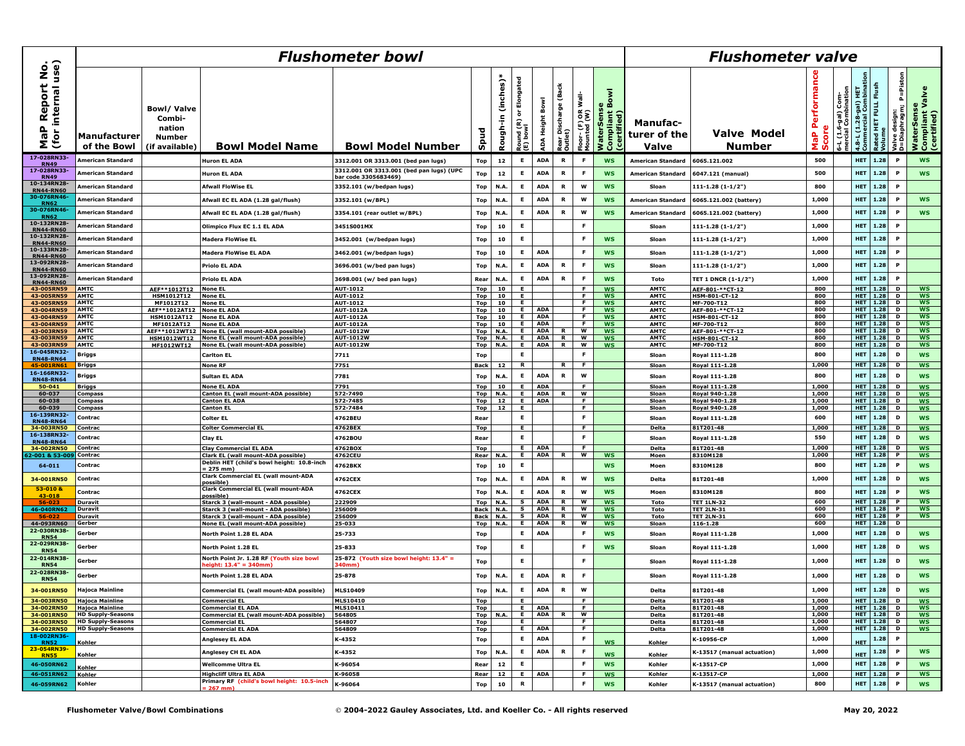|                                                                                    | <b>Flushometer bowl</b>      |                                                                          |                                                           |                                          |                   |                         |                          |                          |                                           |                                                  |                                                   |                                   | <b>Flushometer valve</b>           |                                          |                                         |                                            |                                                        |                                    |                                              |  |  |
|------------------------------------------------------------------------------------|------------------------------|--------------------------------------------------------------------------|-----------------------------------------------------------|------------------------------------------|-------------------|-------------------------|--------------------------|--------------------------|-------------------------------------------|--------------------------------------------------|---------------------------------------------------|-----------------------------------|------------------------------------|------------------------------------------|-----------------------------------------|--------------------------------------------|--------------------------------------------------------|------------------------------------|----------------------------------------------|--|--|
| ່ຍ<br>ເອຍ<br>$\tilde{\mathbf{z}}$<br>eport<br>internal<br>≃<br>م<br>ه<br>(for<br>Σ | Manufacturer<br>of the Bowl  | <b>Bowl/Valve</b><br>Combi-<br>nation<br><b>Number</b><br>(if available) | <b>Bowl Model Name</b>                                    | <b>Bowl Model Number</b>                 | န္တ               | $(inches)*$<br>Rough-in | Elongated<br>ö<br>질<br>配 | ADA Height Bowl          | (Back<br>tear Discharge (<br>utlet)<br>œο | wall-<br>$rac{8}{5}$<br>Floor- (F)<br>Mounted (1 | å<br>WaterSense<br>mpliant<br>ertified)<br>န် ဖွံ | Manufac-<br>turer of the<br>Valve | <b>Valve Model</b><br>Number       | erforman<br>Δ.<br>ω<br>ã<br>a<br>a<br>Σŵ | -L (1.6-gal) Com-<br>ercial Combination | 4.8-L (1.28-gal) HET<br>Commercial Combina | Flush<br>יים<br>האבל בחרר ו<br>Rated<br>Rated<br>Rolum | 교<br>Valve design:<br>D=Diaphragm; | WaterSense<br>Compliant Valve<br>(certified) |  |  |
| 17-028RN33                                                                         | American Standard            |                                                                          | <b>Huron EL ADA</b>                                       | 3312.001 OR 3313.001 (bed pan lugs)      | Top               | 12                      | E                        | <b>ADA</b>               | R                                         | - 6                                              | <b>WS</b>                                         | American Standard                 | 6065.121.002                       | 500                                      |                                         | <b>HET</b>                                 | 1.28                                                   | $\mathbf P$                        | <b>WS</b>                                    |  |  |
| <b>RN49</b><br>17-028RN33-                                                         | American Standard            |                                                                          | <b>Huron EL ADA</b>                                       | 3312.001 OR 3313.001 (bed pan lugs) (UPC | Top               | 12                      | E                        | <b>ADA</b>               | R                                         | F                                                | <b>WS</b>                                         | <b>American Standard</b>          | 6047.121 (manual)                  | 500                                      |                                         | HET                                        | 1.28                                                   | $\mathbf{P}$                       | <b>WS</b>                                    |  |  |
| <b>RN49</b><br>10-134RN28                                                          |                              |                                                                          |                                                           | bar code 3305683469)                     |                   |                         |                          |                          |                                           |                                                  |                                                   |                                   |                                    |                                          |                                         |                                            |                                                        | $\mathbf{P}$                       |                                              |  |  |
| <b>RN44-RN60</b><br>30-076RN46                                                     | American Standard            |                                                                          | <b>Afwall FloWise EL</b>                                  | 3352.101 (w/bedpan lugs)                 | Top               | N.A.                    | E                        | <b>ADA</b>               | R                                         | w                                                | <b>WS</b>                                         | Sloan                             | 111-1.28 (1-1/2")                  | 800                                      |                                         | <b>HET</b>                                 | 1.28                                                   |                                    |                                              |  |  |
| <b>RN62</b><br>30-076RN46                                                          | American Standard            |                                                                          | Afwall EC EL ADA (1.28 gal/flush)                         | 3352.101 (w/BPL)                         | Top               | N.A.                    | E                        | <b>ADA</b>               | R                                         | w                                                | <b>WS</b>                                         | <b>American Standard</b>          | 6065.121.002 (battery)             | 1,000                                    |                                         | <b>HET</b>                                 | 1.28                                                   | $\mathbf{P}$                       | <b>WS</b>                                    |  |  |
| <b>RN62</b>                                                                        | American Standard            |                                                                          | Afwall EC EL ADA (1.28 gal/flush)                         | 3354.101 (rear outlet w/BPL)             | Top               | N.A                     | E                        | <b>ADA</b>               | R                                         | W                                                | <b>WS</b>                                         | <b>American Standard</b>          | 6065.121.002 (battery)             | 1,000                                    |                                         | <b>HET</b>                                 | 1.28                                                   |                                    | <b>WS</b>                                    |  |  |
| 10-132RN28-<br><b>RN44-RN60</b>                                                    | American Standard            |                                                                          | Olimpico Flux EC 1.1 EL ADA                               | 3451S001MX                               | Top               | 10                      | E                        |                          |                                           | F                                                |                                                   | Sloar                             | 111-1.28 (1-1/2")                  | 1,000                                    |                                         | <b>HET</b>                                 | 1.28                                                   | $\mathbf{P}$                       |                                              |  |  |
| 10-132RN28-<br><b>RN44-RN60</b>                                                    | <b>American Standard</b>     |                                                                          | <b>Madera FloWise EL</b>                                  | 3452.001 (w/bedpan lugs)                 | Top               | 10                      | E                        |                          |                                           | F                                                | <b>WS</b>                                         | Sloan                             | 111-1.28 (1-1/2")                  | 1,000                                    |                                         | <b>HET</b>                                 | 1.28                                                   | P                                  |                                              |  |  |
| 10-133RN28<br><b>RN44-RN60</b>                                                     | American Standard            |                                                                          | <b>Madera FloWise EL ADA</b>                              | 3462.001 (w/bedpan lugs)                 | Top               | 10                      | E.                       | <b>ADA</b>               |                                           | - F                                              | <b>WS</b>                                         | Sloan                             | $111 - 1.28(1 - 1/2")$             | 1,000                                    |                                         | <b>HET</b>                                 | 1.28                                                   | P                                  |                                              |  |  |
| 13-092RN28-<br><b>RN44-RN60</b>                                                    | American Standard            |                                                                          | <b>Priolo EL ADA</b>                                      | 3696.001 (w/bed pan lugs)                | Top               | N.A.                    | E                        | <b>ADA</b>               | R                                         | F                                                | <b>WS</b>                                         | Sloan                             | 111-1.28 (1-1/2")                  | 1,000                                    |                                         | <b>HET</b>                                 | 1.28                                                   | $\mathbf{P}$                       |                                              |  |  |
| 13-092RN28-                                                                        | American Standard            |                                                                          | <b>Priolo EL ADA</b>                                      | 3698.001 (w/ bed pan lugs)               | Rear              | N.A                     | E                        | <b>ADA</b>               | R                                         | -F                                               | <b>WS</b>                                         | Toto                              | <b>TET 1 DNCR (1-1/2")</b>         | 1,000                                    |                                         | <b>HET</b>                                 | 1.28                                                   | P                                  |                                              |  |  |
| <b>RN44-RN60</b><br>43-005RN59                                                     | <b>AMTC</b>                  | AEF**1012T12                                                             | <b>None EL</b>                                            | AUT-1012                                 | Top               | 10                      | E                        |                          |                                           | F.                                               | <b>WS</b>                                         | <b>AMTC</b>                       | AEF-801-**CT-12                    | 800                                      |                                         | <b>HET</b>                                 | 1.28                                                   | D                                  | <b>WS</b>                                    |  |  |
| 43-005RN59                                                                         | AMTC                         | HSM1012T12                                                               | <b>None EL</b>                                            | AUT-1012                                 | <b>Top</b>        | 10                      | E.                       |                          |                                           | E.                                               | <b>WS</b>                                         | <b>AMTC</b>                       | HSM-801-CT-12                      | 800                                      |                                         |                                            | <b>HET</b> 1.28 D                                      |                                    | <b>WS</b>                                    |  |  |
| 43-005RN59                                                                         | <b>AMTC</b>                  | MF1012T12                                                                | <b>None EL</b>                                            | AUT-1012                                 | Top               | 10                      | E.                       |                          |                                           | F.<br>E.                                         | <b>WS</b>                                         | <b>AMTC</b>                       | MF-700-T12                         | 800                                      |                                         |                                            | <b>HET</b> 1.28 D                                      |                                    | <b>WS</b>                                    |  |  |
| 43-004RN59                                                                         | AMTC<br>AMTC                 | AEF**1012AT12 None EL ADA                                                |                                                           | <b>AUT-1012A</b>                         | Top               | 10 l                    | E.<br>E.                 | <b>ADA</b><br><b>ADA</b> |                                           | F.                                               | <b>WS</b>                                         | <b>AMTC</b>                       | AEF-801-**CT-12                    | 800<br>800                               |                                         |                                            | <b>HET</b>   1.28 D<br><b>HET</b> 1.28 D               |                                    | WS<br>WS                                     |  |  |
| 43-004RN59<br>43-004RN59                                                           | AMTC                         | HSM1012AT12 None EL ADA                                                  | <b>None EL ADA</b>                                        | <b>AUT-1012A</b><br><b>AUT-1012A</b>     | <b>Top</b><br>Top | 10<br>10                | E.                       | <b>ADA</b>               |                                           | F.                                               | <b>WS</b><br><b>WS</b>                            | <b>AMTC</b><br><b>AMTC</b>        | <u>HSM-801-CT-12</u><br>MF-700-T12 | 800                                      |                                         |                                            | <b>HET</b> 1.28                                        | D                                  | WS                                           |  |  |
| 43-003RN59                                                                         | <b>AMTC</b>                  | MF1012AT12<br>AEF ** 1012WT12                                            | None EL (wall mount-ADA possible)                         | <b>AUT-1012W</b>                         | Top               | N.A.                    | Е.                       | <b>ADA</b>               | R.                                        | w                                                | <b>WS</b>                                         | <b>AMTC</b>                       | AEF-801-**CT-12                    | 800                                      |                                         |                                            | <b>HET</b> 1.28                                        | D                                  | WS                                           |  |  |
| 43-003RN59                                                                         | AMTC                         | <b>HSM1012WT12</b>                                                       | None EL (wall mount-ADA possible)                         | <b>AUT-1012W</b>                         | Top               | N.A.                    | E.                       | <b>ADA</b>               | R                                         | w                                                | <b>WS</b>                                         | <b>AMTC</b>                       | HSM-801-CT-12                      | 800                                      |                                         |                                            | <b>HET</b> 1.28                                        | D                                  | WS                                           |  |  |
| 43-003RN59                                                                         | AMTC                         | MF1012WT12                                                               | None EL (wall mount-ADA possible)                         | <b>AUT-1012W</b>                         | Top               | N.A.                    | E.                       | <b>ADA</b>               | R.                                        | w                                                | <b>WS</b>                                         | <b>AMTC</b>                       | MF-700-T12                         | 800                                      |                                         | <b>HET</b>                                 | 1.28                                                   | D                                  | WS                                           |  |  |
| 16-045RN32-                                                                        |                              |                                                                          |                                                           |                                          |                   |                         |                          |                          |                                           | F                                                |                                                   |                                   |                                    |                                          |                                         |                                            |                                                        |                                    |                                              |  |  |
| <b>RN48-RN64</b>                                                                   | Briggs                       |                                                                          | <b>Carlton EL</b>                                         | 7711                                     | Top               |                         | Е                        |                          |                                           |                                                  |                                                   | Sloan                             | Royal 111-1.28                     | 800                                      |                                         | <b>HET</b>                                 | 1.28                                                   | D                                  | <b>WS</b>                                    |  |  |
| 45-001RN6                                                                          | Briggs                       |                                                                          | <b>None RF</b>                                            | 7751                                     | <b>Back</b>       | 12                      | $\mathbf R$              |                          | R                                         | <b>F</b>                                         |                                                   | Sloan                             | Royal 111-1.28                     | 1,000                                    |                                         |                                            | HET 1.28 D                                             |                                    | <b>WS</b>                                    |  |  |
| 16-166RN32-<br><b>RN48-RN64</b>                                                    | Briggs                       |                                                                          | <b>Sultan EL ADA</b>                                      | 7781                                     | Top               | N.A.                    | E                        | <b>ADA</b>               | R                                         | w                                                |                                                   | Sloan                             | Royal 111-1.28                     | 800                                      |                                         | HET                                        | 1.28                                                   | D                                  | <b>WS</b>                                    |  |  |
| $50 - 041$                                                                         | Briggs                       |                                                                          | <b>None EL ADA</b>                                        | 7791                                     | <b>Top</b>        | 10                      | E.                       | <b>ADA</b>               |                                           | E.                                               |                                                   | Sloan                             | Royal 111-1.28                     | 1,000                                    |                                         |                                            | <b>HET</b>   1.28 D                                    |                                    | <b>WS</b>                                    |  |  |
| 60-037                                                                             | Compass                      |                                                                          | Canton EL (wall mount-ADA possible)                       | 572-7490                                 | Top               | N.A.                    | E.                       | <b>ADA</b>               | R.                                        | w                                                |                                                   | Sloan                             | Royal 940-1.28                     | 1.000                                    |                                         |                                            | <b>HET</b>   1.28 D                                    |                                    | <b>WS</b>                                    |  |  |
| 60-038                                                                             | Compass                      |                                                                          | <b>Canton EL ADA</b>                                      | 572-7485                                 | Top J             | 12                      | E.                       | <b>ADA</b>               |                                           | E.                                               |                                                   | Sloan                             | Royal 940-1.28                     | 1,000                                    |                                         |                                            | HET $1.28$ D                                           |                                    | <b>WS</b>                                    |  |  |
| 60-039                                                                             | Compass                      |                                                                          | <b>Canton EL</b>                                          | 572-7484                                 | <b>Top</b>        | 12                      | E                        |                          |                                           | F.                                               |                                                   | Sloan                             | Royal 940-1.28                     | 1,000                                    |                                         |                                            | <b>HET</b> 1.28                                        | D                                  | <b>WS</b>                                    |  |  |
| 16-139RN32                                                                         | Contrac                      |                                                                          | <b>Colter EL</b>                                          | 4762BEU                                  | Rear              |                         | E.                       |                          |                                           | -F                                               |                                                   | Sloan                             | Royal 111-1.28                     | 600                                      |                                         | <b>HET</b>                                 | 1.28                                                   | D                                  | <b>WS</b>                                    |  |  |
| <b>RN48-RN6</b>                                                                    | Contrac                      |                                                                          | <b>Colter Commercial EL</b>                               | 4762BEX                                  | Top               |                         | E.                       |                          |                                           | F.                                               |                                                   | Delta                             | 81T201-48                          | 1,000                                    |                                         | <b>HET</b>                                 | $1.28$ D                                               |                                    |                                              |  |  |
| 34-003RN50<br>16-138RN32                                                           |                              |                                                                          |                                                           |                                          |                   |                         |                          |                          |                                           |                                                  |                                                   |                                   |                                    |                                          |                                         |                                            |                                                        |                                    | <b>WS</b>                                    |  |  |
| <b>RN48-RN64</b>                                                                   | Contrac                      |                                                                          | Clay EL                                                   | 4762BOU                                  | Rear              |                         | E                        |                          |                                           | F                                                |                                                   | Sloan                             | Royal 111-1.28                     | 550                                      |                                         | HET                                        | 1.28                                                   | D                                  | <b>WS</b>                                    |  |  |
| 34-002RN50                                                                         | Contrac                      |                                                                          | <b>Clay Commercial EL ADA</b>                             | 4762BOX                                  | Top               |                         | E.                       | <b>ADA</b>               |                                           | F.                                               |                                                   | Delta                             | 81T201-48                          | 1,000                                    |                                         |                                            | <b>HET</b> 1.28                                        | D                                  | <b>WS</b>                                    |  |  |
| 62-001 & 53-009                                                                    | Contrac                      |                                                                          | Clark EL (wall mount-ADA possible)                        | 4762CEU                                  | Rear              | N.A.                    | E.                       | ADA                      | R I                                       | w                                                | <b>WS</b>                                         | Moen                              | 8310M128                           | 1,000                                    |                                         | <b>HET</b>                                 | 1.28                                                   | $\mathbf{P}$                       | <b>WS</b>                                    |  |  |
| 64-011                                                                             | Contrac                      |                                                                          | Deblin HET (child's bowl height: 10.8-inch                | 4762BKX                                  | Top               | 10                      | E                        |                          |                                           |                                                  | <b>WS</b>                                         | Moen                              | 8310M128                           | 800                                      |                                         | HET                                        | 1.28                                                   | $\mathbf{P}$                       | <b>WS</b>                                    |  |  |
|                                                                                    |                              |                                                                          | $: 275$ mm)<br><b>Clark Commercial EL (wall mount-ADA</b> |                                          |                   |                         |                          |                          |                                           |                                                  |                                                   |                                   |                                    |                                          |                                         |                                            |                                                        |                                    |                                              |  |  |
| 34-001RN50                                                                         | Contrac                      |                                                                          | possible)                                                 | 4762CEX                                  | Top               | N.A.                    | E.                       | <b>ADA</b>               | R                                         | w                                                | <b>WS</b>                                         | Delta                             | 81T201-48                          | 1,000                                    |                                         | <b>HET</b>                                 | 1.28                                                   | D                                  | <b>WS</b>                                    |  |  |
| 53-010 &<br>43-018                                                                 | Contrac                      |                                                                          | <b>Clark Commercial EL (wall mount-ADA</b><br>possible)   | 4762CEX                                  | Top               | N.A.                    | E                        | <b>ADA</b>               | R                                         | w                                                | <b>WS</b>                                         | Moen                              | 8310M128                           | 800                                      |                                         | <b>HET</b>                                 | 1.28                                                   | $\mathbf{P}$                       | <b>WS</b>                                    |  |  |
| $56 - 02$                                                                          | <b>Duravit</b>               |                                                                          | Starck 3 (wall-mount - ADA possible)                      | 222909                                   | <b>Top</b>        | <b>N.A.</b>             | s.                       | <b>ADA</b>               | R.                                        | w                                                | <b>WS</b>                                         | Toto                              | <b>TET 1LN-32</b>                  | 600                                      |                                         |                                            | <b>HET</b> 1.28                                        | $\mathbf{P}$                       | WS                                           |  |  |
| 46-040RN62                                                                         | Duravit                      |                                                                          | Starck 3 (wall-mount - ADA possible)                      | 256009                                   | <b>Back</b>       | N.A.                    | $\mathbf{s}$             | <b>ADA</b>               | R                                         | w                                                | <b>WS</b>                                         | Toto                              | <b>TET 2LN-31</b>                  | 600                                      |                                         |                                            | <b>HET</b> 1.28                                        | $\mathbf{P}$                       | WS                                           |  |  |
|                                                                                    | Duravit                      |                                                                          | Starck 3 (wall-mount - ADA possible)                      | 256009                                   |                   | Back N.A.               |                          | S ADA                    | R                                         | w                                                | <b>WS</b>                                         | Toto                              | <b>TET 2LN-31</b>                  | 600                                      |                                         |                                            | <b>HET</b> 1.28 P                                      |                                    | WS                                           |  |  |
| 44-093RN60                                                                         | Gerber                       |                                                                          | None EL (wall mount-ADA possible)                         | 25-033                                   | <b>Top</b>        | <b>N.A.</b>             | $\blacksquare$           | ADA                      | R                                         | $\overline{\mathbf{v}}$                          | <b>WS</b>                                         | Sloan                             | 116-1.28                           | 600                                      |                                         |                                            | <b>HET</b>   1.28 D                                    |                                    |                                              |  |  |
| 22-030RN38<br><b>RN54</b>                                                          | Gerber                       |                                                                          | North Point 1.28 EL ADA                                   | 25-733                                   | Top               |                         | Е                        | <b>ADA</b>               |                                           |                                                  | <b>WS</b>                                         | Sloan                             | Royal 111-1.28                     | 1,000                                    |                                         | HET                                        | 1.28                                                   | D                                  | <b>WS</b>                                    |  |  |
| 22-029RN38                                                                         | Gerber                       |                                                                          | North Point 1.28 EL                                       | 25-833                                   | Top               |                         | E.                       |                          |                                           | E                                                | <b>WS</b>                                         | Sloan                             | Royal 111-1.28                     | 1,000                                    |                                         | <b>HET</b>                                 | 1.28                                                   | D                                  | <b>WS</b>                                    |  |  |
| <b>RN54</b><br>22-014RN38-                                                         | Gerber                       |                                                                          | North Point Jr. 1.28 RF (Youth size bowl                  | 25-872 (Youth size bowl height: 13.4" =  |                   |                         | E                        |                          |                                           | F.                                               |                                                   |                                   |                                    | 1,000                                    |                                         | <b>HET</b>                                 | 1.28                                                   | D                                  |                                              |  |  |
| <b>RN54</b><br>22-028RN38-                                                         |                              |                                                                          | eiaht: 13.4" = 340mm                                      | :40mm)                                   | Top               |                         |                          |                          |                                           |                                                  |                                                   | Sloan                             | Royal 111-1.28                     |                                          |                                         |                                            |                                                        |                                    | <b>WS</b>                                    |  |  |
| <b>RN54</b>                                                                        | Gerber                       |                                                                          | North Point 1.28 EL ADA                                   | 25-878                                   | Top               | N.A.                    | E.                       | <b>ADA</b>               | R                                         | F                                                |                                                   | Sloan                             | Royal 111-1.28                     | 1,000                                    |                                         | HET                                        | 1.28                                                   | D                                  | <b>WS</b>                                    |  |  |
| 34-001RN50                                                                         | <b>Hajoca Mainline</b>       |                                                                          | Commercial EL (wall mount-ADA possible)                   | MLS10409                                 | Top               | N.A.                    | E                        | <b>ADA</b>               | R                                         | w                                                |                                                   | <b>Delta</b>                      | 81T201-48                          | 1,000                                    |                                         | <b>HET</b>                                 | 1.28                                                   | D                                  | <b>WS</b>                                    |  |  |
|                                                                                    | 34-003RN50 Hajoca Mainline   |                                                                          | <b>Commercial EL</b>                                      | <b>MLS10410</b>                          | Top               |                         | E.                       |                          |                                           | F.                                               |                                                   | Delta                             | 81T201-48                          | 1,000                                    |                                         |                                            | <b>HET</b> 1.28 D                                      |                                    | <b>WS</b>                                    |  |  |
| 34-002RN50                                                                         | <b>Hajoca Mainline</b>       |                                                                          | <b>Commercial EL ADA</b>                                  | MLS10411                                 | Top               |                         |                          | E   ADA                  |                                           | - F                                              |                                                   | <b>Delta</b>                      | 81T201-48                          | 1,000                                    |                                         |                                            | <b>HET</b> 1.28 D                                      |                                    | <b>WS</b>                                    |  |  |
|                                                                                    | 34-001RN50 HD Supply-Seasons |                                                                          | Commercial EL (wall mount-ADA possible)                   | 564805                                   | <b>Top</b>        | N.A.                    | $\blacksquare$           | <b>ADA</b>               | $\overline{R}$                            | $\overline{\mathbf{w}}$                          |                                                   | Delta                             | 81T201-48                          | 1,000                                    |                                         |                                            | <b>HET</b> 1.28 D                                      |                                    | <b>WS</b>                                    |  |  |
| 34-003RN50                                                                         | <b>HD Supply-Seasons</b>     |                                                                          | <b>Commercial EL</b>                                      | 564807                                   | <b>Top</b>        |                         | E                        |                          |                                           | F.                                               |                                                   | Delta                             | 81T201-48                          | 1,000                                    |                                         |                                            | <b>HET</b> 1.28 D                                      |                                    | <b>WS</b>                                    |  |  |
| 34-002RN50<br>18-002RN36-                                                          | <b>HD Supply-Seasons</b>     |                                                                          | <b>Commercial EL ADA</b>                                  | 564809                                   | <b>Top</b>        |                         | Е.                       | <b>ADA</b>               |                                           | E.                                               |                                                   | <b>Delta</b>                      | 81T201-48                          | 1,000                                    |                                         |                                            | <b>HET</b>   1.28 D                                    |                                    | <b>WS</b>                                    |  |  |
| <b>RN52</b>                                                                        | Kohler                       |                                                                          | <b>Anglesey EL ADA</b>                                    | K-4352                                   | Top               |                         | E                        | <b>ADA</b>               |                                           | - F                                              | <b>WS</b>                                         | Kohler                            | K-10956-CP                         | 1,000                                    |                                         | HET                                        | 1.28                                                   | $\mathbf{P}$                       |                                              |  |  |
| 23-054RN39-<br><b>RN55</b>                                                         | Kohler                       |                                                                          | Anglesey CH EL ADA                                        | K-4352                                   | Top               | N.A.                    | E                        | <b>ADA</b>               | R                                         | F                                                | <b>WS</b>                                         | Kohler                            | K-13517 (manual actuation)         | 1,000                                    |                                         | HET                                        | 1.28                                                   | $\mathbf P$                        | <b>WS</b>                                    |  |  |
| 46-050RN62                                                                         |                              |                                                                          | <b>Wellcomme Ultra EL</b>                                 | K-96054                                  | Rear              | 12                      | E                        |                          |                                           | E                                                | <b>WS</b>                                         | Kohler                            | K-13517-CP                         | 1,000                                    |                                         | <b>HET</b>                                 | 1.28                                                   | $\mathbf{P}$                       | <b>WS</b>                                    |  |  |
|                                                                                    | Kohler                       |                                                                          |                                                           |                                          |                   |                         |                          |                          |                                           |                                                  |                                                   |                                   |                                    |                                          |                                         |                                            |                                                        |                                    |                                              |  |  |
| 46-051RN62                                                                         | Kohler                       |                                                                          | <b>Highcliff Ultra EL ADA</b>                             | K-96058                                  | Rear              | 12                      | E.                       | <b>ADA</b>               |                                           | -F                                               | <b>WS</b>                                         | Kohler                            | K-13517-CP                         | 1,000                                    |                                         | <b>HET</b>                                 | 1.28                                                   | $\mathbf{P}$                       | WS                                           |  |  |
| 46-059RN62                                                                         | Kohler                       |                                                                          | Primary RF (child's bowl height: 10.5-inch                | K-96064                                  | Top               | 10                      | R                        |                          |                                           | F                                                | <b>WS</b>                                         | Kohler                            | K-13517 (manual actuation)         | 800                                      |                                         | <b>HET</b>                                 | 1.28                                                   | $\mathbf{P}$                       | <b>WS</b>                                    |  |  |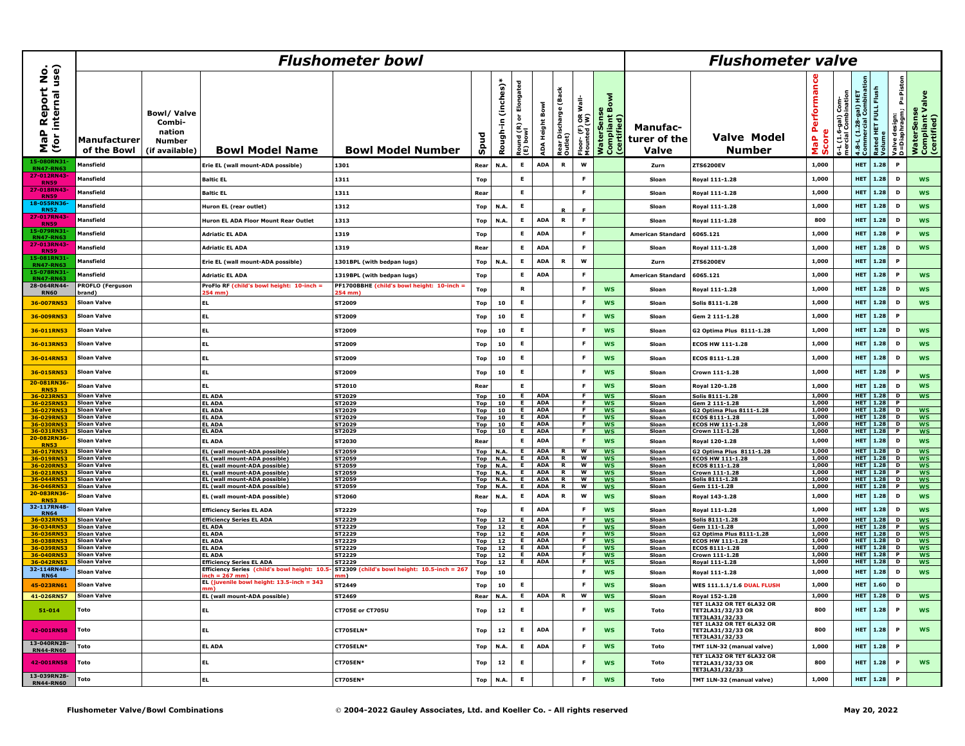|                                                        | <b>Flushometer bowl</b>                  |                                                                          |                                                                           |                                                     |                    |                       |                                         |                          |                                      |                                                  |                                                          |                                          | <b>Flushometer valve</b>                                                        |                                          |                                           |                                                                                 |                                    |                                           |                                             |  |  |  |
|--------------------------------------------------------|------------------------------------------|--------------------------------------------------------------------------|---------------------------------------------------------------------------|-----------------------------------------------------|--------------------|-----------------------|-----------------------------------------|--------------------------|--------------------------------------|--------------------------------------------------|----------------------------------------------------------|------------------------------------------|---------------------------------------------------------------------------------|------------------------------------------|-------------------------------------------|---------------------------------------------------------------------------------|------------------------------------|-------------------------------------------|---------------------------------------------|--|--|--|
| P Report No.<br>· internal use)<br>a<br>a<br>(for<br>Σ | <b>Manufacturer</b><br>of the Bowl       | <b>Bowl/Valve</b><br>Combi-<br>nation<br><b>Number</b><br>(if available) | <b>Bowl Model Name</b>                                                    | <b>Bowl Model Number</b>                            | Spud               | (inches)*<br>Rough-in | Elongated<br>ò<br>Round (R)<br>(E) bowl | <b>ADA Height Bowl</b>   | (Back<br>tear Discharge (<br>)utlet) | -lisw<br>$\frac{1}{6}$<br>Floor-(F)<br>Mounted ( | Σ<br><b>WaterSense<br/>Compliant Bov<br/>(certified)</b> | <b>Manufac-</b><br>turer of the<br>Valve | <b>Valve Model</b><br><b>Number</b>                                             | Performan<br>core<br>$\frac{a}{b}$<br>Ō. | 5-L (1.6-gal) Com-<br>mercial Combination | 4.8-L (1.28-gal) HET<br>Commercial Combinatio<br>Rated HET FULL Flush<br>Volume |                                    | P=Piston<br>Valve design:<br>D=Diaphragm; | WaterSense<br>Compliant Valve<br>Certified) |  |  |  |
| 15-080RN3<br><b>RN47-RN6</b>                           | Mansfield                                |                                                                          | Erie EL (wall mount-ADA possible)                                         | 1301                                                | Rear               | N.A.                  | E                                       | <b>ADA</b>               | $\, {\bf R} \,$                      | W                                                |                                                          | Zurn                                     | <b>ZTS6200EV</b>                                                                | 1,000                                    |                                           | <b>HET</b>                                                                      | 1.28                               | $\mathbf{P}$                              |                                             |  |  |  |
| 27-012RN43-<br><b>RN59</b>                             | <b>Mansfield</b>                         |                                                                          | <b>Baltic EL</b>                                                          | 1311                                                | Top                |                       | E                                       |                          |                                      | F                                                |                                                          | Sloar                                    | Royal 111-1.28                                                                  | 1,000                                    |                                           | <b>HET</b>                                                                      | 1.28                               | D                                         | <b>WS</b>                                   |  |  |  |
| 27-018RN43<br><b>RN59</b>                              | Mansfield                                |                                                                          | <b>Baltic EL</b>                                                          | 1311                                                | Rear               |                       | E                                       |                          |                                      | E                                                |                                                          | Sloan                                    | Roval 111-1.28                                                                  | 1,000                                    |                                           | HET                                                                             | 1.28                               | D                                         | <b>WS</b>                                   |  |  |  |
| 18-055RN36-<br><b>RN52</b>                             | Mansfield                                |                                                                          | Huron EL (rear outlet)                                                    | 1312                                                | Top                | N.A                   | E                                       |                          |                                      |                                                  |                                                          | Sloan                                    | Royal 111-1.28                                                                  | 1,000                                    |                                           | <b>HET</b>                                                                      | 1.28                               | D                                         | <b>WS</b>                                   |  |  |  |
| 27-017RN43<br><b>RN59</b>                              | Mansfield                                |                                                                          | Huron EL ADA Floor Mount Rear Outlet                                      | 1313                                                | Top                | N.A.                  | E                                       | <b>ADA</b>               | ${\bf R}$                            | F                                                |                                                          | Sloan                                    | Royal 111-1.28                                                                  | 800                                      |                                           | HET                                                                             | 1.28                               | D                                         | <b>WS</b>                                   |  |  |  |
| 15-079RN31<br><b>RN47-RN63</b>                         | Mansfield                                |                                                                          | <b>Adriatic EL ADA</b>                                                    | 1319                                                | Top                |                       | E                                       | <b>ADA</b>               |                                      | E                                                |                                                          | American Standard                        | 6065.121                                                                        | 1.000                                    |                                           | <b>HET</b>                                                                      | 1.28                               | $\mathbf{P}$                              | <b>WS</b>                                   |  |  |  |
| 27-013RN43-<br><b>RN59</b>                             | <b>Mansfield</b>                         |                                                                          | <b>Adriatic EL ADA</b>                                                    | 1319                                                | Rear               |                       | E                                       | <b>ADA</b>               |                                      | F                                                |                                                          | Sloar                                    | Royal 111-1.28                                                                  | 1,000                                    |                                           | <b>HET</b>                                                                      | 1.28                               | D                                         | <b>WS</b>                                   |  |  |  |
| 15-081RN3:<br><b>RN47-RN63</b>                         | Mansfield                                |                                                                          | Erie EL (wall mount-ADA possible)                                         | 1301BPL (with bedpan lugs)                          | Top                | N.A.                  | E                                       | <b>ADA</b>               | R                                    | W                                                |                                                          | Zurn                                     | <b>ZTS6200EV</b>                                                                | 1,000                                    |                                           | HET                                                                             | 1.28                               | P                                         |                                             |  |  |  |
| 15-078RN31<br><b>RN47-RN63</b>                         | Mansfield                                |                                                                          | <b>Adriatic EL ADA</b>                                                    | 1319BPL (with bedpan lugs)                          | Top                |                       | E                                       | <b>ADA</b>               |                                      | F                                                |                                                          | <b>American Standard</b>                 | 6065.121                                                                        | 1,000                                    |                                           | HET                                                                             | 1.28                               | P                                         | <b>WS</b>                                   |  |  |  |
| 28-064RN44-<br><b>RN60</b>                             | <b>PROFLO (Ferguson</b><br>brand)        |                                                                          | ProFlo RF (child's bowl height: 10-inch<br>54 mm                          | PF1700BBHE (child's bowl height: 10-inch =<br>54 mm | Top                |                       | R                                       |                          |                                      | - 6                                              | <b>WS</b>                                                | Sloar                                    | Royal 111-1.28                                                                  | 1.000                                    |                                           | <b>HET</b>                                                                      | 1.28                               | D                                         | <b>WS</b>                                   |  |  |  |
| 36-007RN53                                             | Sloan Valve                              |                                                                          | EL                                                                        | ST2009                                              | Top                | 10                    | E                                       |                          |                                      | F                                                | <b>WS</b>                                                | Sloar                                    | Solis 8111-1.28                                                                 | 1,000                                    |                                           | HET                                                                             | 1.28                               | D                                         | <b>WS</b>                                   |  |  |  |
| 36-009RN53                                             | <b>Sloan Valve</b>                       |                                                                          | EL.                                                                       | <b>ST2009</b>                                       | Top                | 10                    | E                                       |                          |                                      | - F                                              | <b>WS</b>                                                | Sloan                                    | Gem 2 111-1.28                                                                  | 1.000                                    |                                           | <b>HET</b>                                                                      | 1.28                               | $\mathbf{P}$                              |                                             |  |  |  |
| 36-011RN53                                             | <b>Sloan Valve</b>                       |                                                                          | EL.                                                                       | <b>ST2009</b>                                       | Top                | 10                    | E                                       |                          |                                      | F                                                | <b>WS</b>                                                | Sloan                                    | G2 Optima Plus 8111-1.28                                                        | 1,000                                    |                                           | <b>HET</b>                                                                      | 1.28                               | D                                         | <b>WS</b>                                   |  |  |  |
| 36-013RN53                                             | <b>Sloan Valve</b>                       |                                                                          | EL.                                                                       | <b>ST2009</b>                                       | Top                | 10                    | E                                       |                          |                                      | F                                                | <b>WS</b>                                                | Sloan                                    | <b>ECOS HW 111-1.28</b>                                                         | 1,000                                    |                                           | HET                                                                             | 1.28                               | D                                         | <b>WS</b>                                   |  |  |  |
| 36-014RN53                                             | <b>Sloan Valve</b>                       |                                                                          | EL.                                                                       | ST2009                                              | Top                | 10                    | E                                       |                          |                                      | F                                                | <b>WS</b>                                                | Sloan                                    | ECOS 8111-1.28                                                                  | 1,000                                    |                                           | <b>HET</b>                                                                      | 1.28                               | D                                         | <b>WS</b>                                   |  |  |  |
| 36-015RN53                                             | <b>Sloan Valve</b>                       |                                                                          | EL.                                                                       | ST2009                                              | Top                | 10                    | E                                       |                          |                                      | E                                                | <b>WS</b>                                                | Sloan                                    | Crown 111-1.28                                                                  | 1,000                                    |                                           | HET                                                                             | 1.28                               | P                                         |                                             |  |  |  |
| 20-081RN36                                             | Sloan Valve                              |                                                                          |                                                                           | ST2010                                              |                    |                       | E                                       |                          |                                      | F                                                | <b>WS</b>                                                |                                          |                                                                                 | 1,000                                    |                                           | HET                                                                             | 1.28                               | D                                         | <b>WS</b><br><b>WS</b>                      |  |  |  |
| <b>RN53</b><br>36-023RN!                               | <b>Sloan Valve</b>                       |                                                                          | <b>EL</b><br><b>EL ADA</b>                                                | ST2029                                              | Rear<br><b>Top</b> | 10                    | E.                                      | <b>ADA</b>               |                                      | F.                                               | <b>WS</b>                                                | Sloan<br>Sloan                           | Roval 120-1.28<br>Solis 8111-1.28                                               | 1,000                                    |                                           | <b>HET</b> 1.28                                                                 |                                    | D                                         | <b>WS</b>                                   |  |  |  |
| 36-025RN5                                              | <b>Sloan Valve</b>                       |                                                                          | EL ADA                                                                    | ST2029                                              | Top                | 10                    | $\overline{E}$                          | <b>ADA</b>               |                                      | F.                                               | <b>WS</b>                                                | Sloan                                    | Gem 2 111-1.28                                                                  | 1.000                                    |                                           |                                                                                 | <b>HET</b> 1.28                    | $\mathbf{P}$                              |                                             |  |  |  |
| 36-027RN53                                             | <b>Sloan Valve</b>                       |                                                                          | <b>EL ADA</b>                                                             | ST2029                                              | <b>Top</b>         |                       | $10$ E                                  | <b>ADA</b>               |                                      | <b>F</b>                                         | <b>WS</b>                                                | Sloan                                    | G2 Optima Plus 8111-1.28                                                        | 1,000                                    |                                           |                                                                                 | <b>HET</b> 1.28                    | D                                         | <b>WS</b>                                   |  |  |  |
| 36-029RN5<br>36-030RN5                                 | <b>Sloan Valve</b><br><b>Sloan Valve</b> |                                                                          | <b>EL ADA</b><br>EL ADA                                                   | ST2029<br><b>ST2029</b>                             | Top<br>Top         | 10                    | $10$ E<br>$\blacksquare$                | ADA<br><b>ADA</b>        |                                      | $\overline{F}$<br>$\overline{F}$                 | <b>WS</b><br><b>WS</b>                                   | Sloan<br>Sloan                           | ECOS 8111-1.28<br><b>ECOS HW 111-1.28</b>                                       | 1,000<br>1,000                           |                                           |                                                                                 | <b>HET</b> 1.28<br><b>HET</b> 1.28 | Þ<br>Þ                                    | <b>WS</b><br><b>WS</b>                      |  |  |  |
| 36-031RN53                                             | Sloan Valve                              |                                                                          | <b>EL ADA</b>                                                             | ST2029                                              | Top                | 10 l                  | E.                                      | ADA                      |                                      | F.                                               | <b>WS</b>                                                | Sloan                                    | Crown 111-1.28                                                                  | 1,000                                    |                                           |                                                                                 | <b>HET</b> 1.28                    | $\overline{P}$                            | <b>WS</b>                                   |  |  |  |
| 20-082RN36                                             | Sloan Valve                              |                                                                          | <b>EL ADA</b>                                                             | ST2030                                              | Rear               |                       | E                                       | <b>ADA</b>               |                                      | F                                                | <b>WS</b>                                                | Sloan                                    | Royal 120-1.28                                                                  | 1,000                                    |                                           | <b>HET</b>                                                                      | 1.28                               | D                                         | <b>WS</b>                                   |  |  |  |
| <b>RN53</b>                                            |                                          |                                                                          |                                                                           |                                                     |                    |                       | E.,                                     |                          |                                      | w                                                |                                                          |                                          |                                                                                 |                                          |                                           |                                                                                 |                                    | D                                         |                                             |  |  |  |
| 36-017RN53<br>36-019RN5                                | <b>Sloan Valve</b><br><b>Sloan Valve</b> |                                                                          | EL (wall mount-ADA possible)<br>EL (wall mount-ADA possible)              | ST2059<br><b>ST2059</b>                             | <b>Top</b><br>Top  | <b>N.A.</b><br>N.A.   | E.                                      | <b>ADA</b><br><b>ADA</b> | R<br>$\mathbf R$                     | W                                                | <b>WS</b><br><b>WS</b>                                   | Sloan<br>Sloan                           | G2 Optima Plus 8111-1.28<br>ECOS HW 111-1.28                                    | 1,000<br>1.000                           |                                           |                                                                                 | <b>HET</b> 1.28<br><b>HET</b> 1.28 | D                                         | <b>WS</b><br><b>WS</b>                      |  |  |  |
| <b>36-020RN53</b>                                      | Sloan Valve                              |                                                                          | EL (wall mount-ADA possible)                                              | <b>ST2059</b>                                       |                    | Top N.A.              | $\overline{E}$                          | ADA                      | R I                                  | $\overline{\mathsf{w}}$                          | <b>WS</b>                                                | Sloan                                    | ECOS 8111-1.28                                                                  | 1,000                                    |                                           |                                                                                 | <b>HET</b> 1.28                    | <b>D</b>                                  | <b>WS</b>                                   |  |  |  |
| 36-021RN5                                              | <b>Sloan Valve</b>                       |                                                                          | EL (wall mount-ADA possible)                                              | ST2059                                              |                    | Top N.A.              | $\overline{E}$                          | <b>ADA</b>               | $\overline{R}$                       | ś                                                | <b>WS</b>                                                | Sloan                                    | Crown 111-1.28                                                                  | 1,000                                    |                                           |                                                                                 | <b>HET</b> 1.28                    | $\overline{P}$                            | <b>WS</b>                                   |  |  |  |
| 36-044RN5                                              | <b>Sloan Valve</b>                       |                                                                          | EL (wall mount-ADA possible)                                              | ST2059                                              | <b>Top</b>         | <b>N.A.</b>           | F.                                      | <b>ADA</b>               | $\overline{R}$                       | W                                                | <b>WS</b>                                                | Sloan                                    | Solis 8111-1.28                                                                 | 1,000                                    |                                           | <b>HET</b> 1.28                                                                 |                                    | Þ                                         | <b>WS</b>                                   |  |  |  |
| 36-046RN53<br>20-083RN36                               | <b>Sloan Valve</b><br><b>Sloan Valve</b> |                                                                          | EL (wall mount-ADA possible)<br>EL (wall mount-ADA possible)              | ST2059<br>ST2060                                    | <b>Top</b><br>Rear | N.A.<br>N.A.          | $\overline{E}$<br>$\mathsf E$           | <b>ADA</b><br><b>ADA</b> | $\overline{R}$<br>$\, {\bf R} \,$    | $\overline{w}$<br>W                              | <b>WS</b><br><b>WS</b>                                   | Sloan<br>Sloan                           | Gem 111-1.28<br>Royal 143-1.28                                                  | 1,000<br>1,000                           |                                           | <b>HET</b> 1.28<br><b>HET</b>                                                   | 1.28                               | $\overline{P}$<br>D                       | <b>WS</b><br><b>WS</b>                      |  |  |  |
| <b>RN53</b><br>32-117RN48-                             | Sloan Valve                              |                                                                          | <b>Efficiency Series EL ADA</b>                                           | ST2229                                              | Top                |                       | E                                       | <b>ADA</b>               |                                      | -F                                               | <b>WS</b>                                                | Sloan                                    | Roval 111-1.28                                                                  | 1,000                                    |                                           | <b>HET</b>                                                                      | 1.28                               | D                                         | <b>WS</b>                                   |  |  |  |
| <b>RN64</b><br>36-032RN5                               | <b>Sloan Valve</b>                       |                                                                          | <b>Efficiency Series EL ADA</b>                                           | ST2229                                              | Top                | 12                    | $\overline{E}$                          | <b>ADA</b>               |                                      | F.                                               | <b>WS</b>                                                | Sloan                                    | Solis 8111-1.28                                                                 | 1,000                                    |                                           |                                                                                 | <b>HET</b> 1.28                    | D                                         | <b>WS</b>                                   |  |  |  |
| 36-034RN5                                              | <b>Sloan Valve</b>                       |                                                                          | <b>EL ADA</b>                                                             | ST2229                                              | Top                | 12                    | $\overline{E}$                          | <b>ADA</b>               |                                      | F.                                               | <b>WS</b>                                                | Sloan                                    | Gem 111-1.28                                                                    | 1.000                                    |                                           |                                                                                 | <b>HET</b> 1.28                    | $\mathbf{P}$                              | <b>WS</b>                                   |  |  |  |
| 36-036RN5                                              | <b>Sloan Valve</b>                       |                                                                          | <b>EL ADA</b>                                                             | ST2229                                              | Top                | 12                    | <b>F</b>                                | ADA                      |                                      | <b>F</b>                                         | <b>WS</b>                                                | Sloan                                    | G2 Optima Plus 8111-1.28                                                        | 1,000                                    |                                           |                                                                                 | <b>HFT</b> 1.28                    | <b>D</b>                                  | <b>WS</b>                                   |  |  |  |
| 36-038RN5                                              | <b>Sloan Valve</b><br><b>Sloan Valve</b> |                                                                          | <b>EL ADA</b><br>EL ADA                                                   | ST2229<br><b>ST2229</b>                             | Top                | 12 <sub>1</sub><br>12 | $\overline{E}$<br>E.                    | ADA<br>ADA               |                                      | $\overline{F}$<br>F.                             | <b>WS</b>                                                | Sloan                                    | ECOS HW 111-1.28<br>ECOS 8111-1.28                                              | 1,000<br>1,000                           |                                           | <b>HET</b> 1.28                                                                 | <b>HET</b> 1.28                    | Þ<br>D                                    | <b>WS</b>                                   |  |  |  |
| 36-039RN5<br>36-040RN5                                 | <b>Sloan Valve</b>                       |                                                                          | <b>EL ADA</b>                                                             | ST2229                                              | Top<br><b>Top</b>  | 12                    |                                         | E ADA                    |                                      | F.                                               | <b>WS</b><br><b>WS</b>                                   | Sloan<br>Sloan                           | Crown 111-1.28                                                                  | 1,000                                    |                                           |                                                                                 | <b>HET</b> 1.28                    | <b>P</b>                                  | WS<br><b>WS</b>                             |  |  |  |
| 36-042RN53                                             | <b>Sloan Valve</b>                       |                                                                          | <b>Efficiency Series EL ADA</b>                                           | <b>ST2229</b>                                       | <b>Top</b>         |                       | 12 E ADA                                |                          |                                      | F.                                               | <b>WS</b>                                                | Sloan                                    | Royal 111-1.28                                                                  | 1,000                                    |                                           |                                                                                 | <b>HET 1.28 D</b>                  |                                           | <b>WS</b>                                   |  |  |  |
| 32-114RN48-<br><b>RN64</b>                             | <b>Sloan Valve</b>                       |                                                                          | Efficiency Series (child's bowl height: 10.5<br>nch = 267 mm <sup>.</sup> | ST2309 (child's bowl height: 10.5-inch = 267<br>ım) | Top                | 10                    |                                         |                          |                                      | - F                                              | <b>WS</b>                                                | Sloan                                    | Royal 111-1.28                                                                  | 1,000                                    |                                           | <b>HET</b>                                                                      | 1.28                               | D                                         | <b>WS</b>                                   |  |  |  |
| 45-023RN61                                             | <b>Sloan Valve</b>                       |                                                                          | EL (juvenile bowl height: 13.5-inch = 343                                 | ST2449                                              | Top                | 10                    | E                                       |                          |                                      | - F                                              | <b>WS</b>                                                | Sloan                                    | <b>WES 111.1.1/1.6 DUAL FLUSH</b>                                               | 1,000                                    |                                           | <b>HET</b>                                                                      | 1.60                               | D                                         |                                             |  |  |  |
| 41-026RN57                                             | <b>Sloan Valve</b>                       |                                                                          | EL (wall mount-ADA possible)                                              | ST2469                                              | Rear               | <b>N.A.</b>           | E                                       | <b>ADA</b>               | $\mathbf R$                          | W                                                | <b>WS</b>                                                | Sloan                                    | Roval 152-1.28                                                                  | 1,000                                    |                                           | <b>HET</b>                                                                      | 1.28                               | D                                         | <b>WS</b>                                   |  |  |  |
| 51-014                                                 | Toto                                     |                                                                          | EL.                                                                       | <b>CT705E or CT705U</b>                             | Top                | 12                    | E                                       |                          |                                      | -F                                               | <b>WS</b>                                                | Toto                                     | TET 1LA32 OR TET 6LA32 OR<br>TET2LA31/32/33 OR<br>TET3LA31/32/33                | 800                                      |                                           | <b>HET</b>                                                                      | 1.28                               | $\mathbf{P}$                              | <b>WS</b>                                   |  |  |  |
| 42-001RN58                                             | Toto                                     |                                                                          | <b>EL</b>                                                                 | CT705ELN*                                           | Top                | 12                    | E                                       | <b>ADA</b>               |                                      | F                                                | <b>WS</b>                                                | Toto                                     | TET 1LA32 OR TET 6LA32 OR<br>TET2LA31/32/33 OR<br>TET3LA31/32/33                | 800                                      |                                           | HET                                                                             | 1.28                               | $\mathbf{P}$                              | <b>WS</b>                                   |  |  |  |
| 13-040RN28-<br><b>RN44-RN60</b>                        | Toto                                     |                                                                          | <b>EL ADA</b>                                                             | <b>CT705ELN*</b>                                    | <b>Top</b>         | N.A.                  | E                                       | <b>ADA</b>               |                                      | - F                                              | <b>WS</b>                                                | <b>Toto</b>                              | TMT 1LN-32 (manual valve)                                                       | 1.000                                    |                                           | <b>HET</b>                                                                      | 1.28                               | $\mathbf{P}$                              |                                             |  |  |  |
| 42-001RN58                                             | Toto                                     |                                                                          | EL                                                                        | <b>CT705EN*</b>                                     | Top                | 12                    | E                                       |                          |                                      | F                                                | <b>WS</b>                                                | Toto                                     | TET 1LA32 OR TET 6LA32 OR<br><b>TET2LA31/32/33 OR</b><br><b>TFT31 A31/32/33</b> | 800                                      |                                           | HET                                                                             | 1.28                               | P                                         | <b>WS</b>                                   |  |  |  |
| 13-039RN28-<br><b>RN44-RN60</b>                        | Toto                                     |                                                                          | <b>EL</b>                                                                 | <b>CT705EN*</b>                                     | Top                | N.A.                  | E                                       |                          |                                      | F                                                | <b>WS</b>                                                | Toto                                     | TMT 1LN-32 (manual valve)                                                       | 1,000                                    |                                           | <b>HET</b>                                                                      | 1.28                               | P                                         |                                             |  |  |  |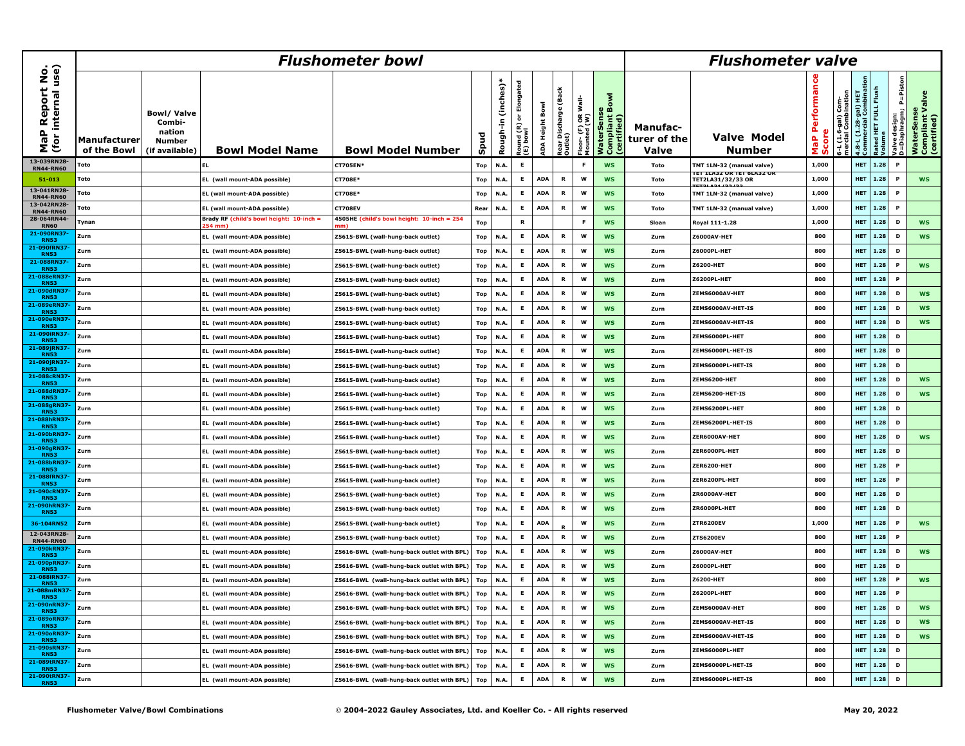|                                      |                                    |                                                                          | <b>Flushometer valve</b>                          |                                            |            |                      |                                                                 |                        |                                      |                                               |                                             |                                   |                                                        |                             |                                           |                                                                                  |      |                                          |                                              |
|--------------------------------------|------------------------------------|--------------------------------------------------------------------------|---------------------------------------------------|--------------------------------------------|------------|----------------------|-----------------------------------------------------------------|------------------------|--------------------------------------|-----------------------------------------------|---------------------------------------------|-----------------------------------|--------------------------------------------------------|-----------------------------|-------------------------------------------|----------------------------------------------------------------------------------|------|------------------------------------------|----------------------------------------------|
| MaP Report No.<br>(for internal use) | <b>Manufacturer</b><br>of the Bowl | <b>Bowl/Valve</b><br>Combi-<br>nation<br><b>Number</b><br>(if available) | <b>Bowl Model Name</b>                            | <b>Bowl Model Number</b>                   | Spud       | (inches)<br>Rough-in | Elongated<br>$\overleftarrow{\bullet}$<br>Round (R)<br>(E) bowl | <b>ADA Height Bowl</b> | (Back<br>Rear Discharge (<br>Dutlet) | <sup>-loor-</sup> (F) OR Wall-<br>4ounted (W) | WaterSense<br>Compliant Bowl<br>(certified) | Manufac-<br>turer of the<br>Valve | <b>Valve Model</b><br>Number                           | Performan<br>MaP P<br>Score | i-L (1.6-gal) Com-<br>nercial Combination | 4.8-L (1.28-gal) HET<br>Commercial Combination<br>Rated HET FULL Flush<br>Volume |      | /alve design:<br>D=Diaphragm;   P=Piston | WaterSense<br>Compliant Valve<br>(certified) |
| 13-039RN28-<br><b>RN44-RN60</b>      | Toto                               |                                                                          |                                                   | CT705EN*                                   | <b>Top</b> | N.A.                 | E                                                               |                        |                                      | - F                                           | <b>WS</b>                                   | Toto                              | TMT 1LN-32 (manual valve)<br>IEI ILASZ UR TET GLASZ UR | 1.000                       |                                           | <b>HET</b>                                                                       | 1.28 | P                                        |                                              |
| $51 - 013$                           | Toto                               |                                                                          | EL (wall mount-ADA possible)                      | <b>CT708E*</b>                             | Top        | N.A.                 | E.                                                              | <b>ADA</b>             | R                                    | W                                             | <b>WS</b>                                   | Toto                              | TET2LA31/32/33 OR                                      | 1,000                       |                                           | <b>HET</b>                                                                       | 1.28 | P                                        | <b>WS</b>                                    |
| 13-041RN28-<br><b>RN44-RN60</b>      | Toto                               |                                                                          | EL (wall mount-ADA possible)                      | <b>CT708E*</b>                             | <b>Top</b> | N.A.                 | E                                                               | <b>ADA</b>             | $\, {\bf R} \,$                      | W                                             | <b>WS</b>                                   | Toto                              | TMT 1LN-32 (manual valve)                              | 1,000                       |                                           | <b>HET</b>                                                                       | 1.28 | P                                        |                                              |
| 13-042RN28-<br><b>RN44-RN60</b>      | Toto                               |                                                                          | EL (wall mount-ADA possible)                      | <b>CT708EV</b>                             | Rear       | N.A.                 | $\mathsf E$                                                     | <b>ADA</b>             | $\, {\bf R} \,$                      | w                                             | <b>WS</b>                                   | Toto                              | TMT 1LN-32 (manual valve)                              | 1.000                       |                                           | <b>HET</b>                                                                       | 1.28 | P                                        |                                              |
| 28-064RN44-<br><b>RN60</b>           | Tynan                              |                                                                          | Brady RF (child's bowl height: 10-inch =<br>54 mm | 4505HE (child's bowl height: 10-inch = 254 | Top        |                      | $\mathbf R$                                                     |                        |                                      | -F                                            | <b>WS</b>                                   | Sloan                             | Royal 111-1.28                                         | 1.000                       |                                           | <b>HET</b>                                                                       | 1.28 | D                                        | <b>WS</b>                                    |
| 21-090RN3<br><b>RN53</b>             | Zurn                               |                                                                          | EL (wall mount-ADA possible)                      | Z5615-BWL (wall-hung-back outlet)          | <b>Top</b> | N.A.                 | E                                                               | <b>ADA</b>             | $\, {\bf R} \,$                      | W                                             | <b>WS</b>                                   | Zurn                              | Z6000AV-HET                                            | 800                         |                                           | <b>HET</b>                                                                       | 1.28 | D                                        | <b>WS</b>                                    |
| 21-090fRN3<br><b>RN53</b>            | Zurn                               |                                                                          | EL (wall mount-ADA possible)                      | Z5615-BWL (wall-hung-back outlet)          | <b>Top</b> | N.A.                 | E                                                               | <b>ADA</b>             | R                                    | w                                             | <b>WS</b>                                   | Zurn                              | Z6000PL-HET                                            | 800                         |                                           | <b>HET</b>                                                                       | 1.28 | D                                        |                                              |
| 21-088RN3<br><b>RN53</b>             | Zurn                               |                                                                          | EL (wall mount-ADA possible)                      | Z5615-BWL (wall-hung-back outlet)          | <b>Top</b> | N.A.                 | E                                                               | <b>ADA</b>             | $\, {\bf R} \,$                      | w                                             | <b>WS</b>                                   | Zurn                              | Z6200-HET                                              | 800                         |                                           | <b>HET</b>                                                                       | 1.28 | P                                        | <b>WS</b>                                    |
| 21-088eRN37<br><b>RN53</b>           | Zurn                               |                                                                          | EL(wall mount-ADA possible)                       | Z5615-BWL (wall-hung-back outlet)          | Top        | N.A.                 | E                                                               | <b>ADA</b>             | $\, {\bf R} \,$                      | w                                             | <b>WS</b>                                   | Zurn                              | <b>Z6200PL-HET</b>                                     | 800                         |                                           | <b>HET</b>                                                                       | 1.28 | P                                        |                                              |
| 21-090dRN3<br><b>RN53</b>            | Zurn                               |                                                                          | EL (wall mount-ADA possible)                      | Z5615-BWL (wall-hung-back outlet)          | Top        | N.A.                 | E                                                               | <b>ADA</b>             | $\, {\bf R} \,$                      | w                                             | <b>WS</b>                                   | Zurn                              | ZEMS6000AV-HET                                         | 800                         |                                           | <b>HET</b>                                                                       | 1.28 | D                                        | <b>WS</b>                                    |
| 21-089eRN37<br><b>RN53</b>           | Zurn                               |                                                                          | EL (wall mount-ADA possible)                      | Z5615-BWL (wall-hung-back outlet)          | Top        | N.A.                 | E                                                               | <b>ADA</b>             | $\, {\bf R} \,$                      | W                                             | <b>WS</b>                                   | Zurn                              | ZEMS6000AV-HET-IS                                      | 800                         |                                           | <b>HET</b>                                                                       | 1.28 | D                                        | <b>WS</b>                                    |
| 21-090eRN37<br><b>RN53</b>           | Zurn                               |                                                                          | EL (wall mount-ADA possible)                      | Z5615-BWL (wall-hung-back outlet)          | Top        | N.A.                 | E                                                               | <b>ADA</b>             | $\, {\bf R} \,$                      | w                                             | <b>WS</b>                                   | Zurn                              | ZEMS6000AV-HET-IS                                      | 800                         |                                           | <b>HET</b>                                                                       | 1.28 | D                                        | <b>WS</b>                                    |
| 21-090iRN37<br><b>RN53</b>           | Zurn                               |                                                                          | EL (wall mount-ADA possible)                      | Z5615-BWL (wall-hung-back outlet)          | Top        | N.A.                 | E                                                               | <b>ADA</b>             | $\mathbf R$                          | W                                             | <b>WS</b>                                   | Zurn                              | ZEMS6000PL-HET                                         | 800                         |                                           | <b>HET</b>                                                                       | 1.28 | D                                        |                                              |
| 21-089jRN3<br><b>RN53</b>            | Zurn                               |                                                                          | EL (wall mount-ADA possible)                      | Z5615-BWL (wall-hung-back outlet)          | <b>Top</b> | N.A.                 | E                                                               | <b>ADA</b>             | $\, {\bf R} \,$                      | W                                             | <b>WS</b>                                   | Zurn                              | ZEMS6000PL-HET-IS                                      | 800                         |                                           | <b>HET</b>                                                                       | 1.28 | D                                        |                                              |
| 21-090jRN37<br><b>RN53</b>           | Zurn                               |                                                                          | EL (wall mount-ADA possible)                      | Z5615-BWL (wall-hung-back outlet)          | <b>Top</b> | N.A.                 | E                                                               | <b>ADA</b>             | $\, {\bf R} \,$                      | w                                             | <b>WS</b>                                   | Zurn                              | ZEMS6000PL-HET-IS                                      | 800                         |                                           | <b>HET</b>                                                                       | 1.28 | D                                        |                                              |
| 21-088cRN3<br><b>RN53</b>            | Zurn                               |                                                                          | EL (wall mount-ADA possible)                      | Z5615-BWL (wall-hung-back outlet)          | <b>Top</b> | N.A.                 | E                                                               | <b>ADA</b>             | $\mathbf R$                          | W                                             | <b>WS</b>                                   | Zurn                              | ZEMS6200-HET                                           | 800                         |                                           | <b>HET</b>                                                                       | 1.28 | D                                        | <b>WS</b>                                    |
| 21-088dRN3<br><b>RN53</b>            | Zurn                               |                                                                          | EL (wall mount-ADA possible)                      | Z5615-BWL (wall-hung-back outlet)          | Top        | N.A.                 | E                                                               | <b>ADA</b>             | R                                    | W                                             | <b>WS</b>                                   | Zurn                              | ZEMS6200-HET-IS                                        | 800                         |                                           | <b>HET</b>                                                                       | 1.28 | D                                        | <b>WS</b>                                    |
| 21-088gRN37<br><b>RN53</b>           | Zurn                               |                                                                          | EL (wall mount-ADA possible)                      | Z5615-BWL (wall-hung-back outlet)          | <b>Top</b> | N.A.                 | E                                                               | <b>ADA</b>             | $\, {\bf R} \,$                      | w                                             | <b>WS</b>                                   | Zurn                              | ZEMS6200PL-HET                                         | 800                         |                                           | <b>HET</b>                                                                       | 1.28 | D                                        |                                              |
| 21-088hRN<br><b>RN53</b>             | Zurn                               |                                                                          | EL (wall mount-ADA possible)                      | Z5615-BWL (wall-hung-back outlet)          | <b>Top</b> | N.A.                 | E                                                               | <b>ADA</b>             | R                                    | W                                             | <b>WS</b>                                   | Zurn                              | ZEMS6200PL-HET-IS                                      | 800                         |                                           | <b>HET</b>                                                                       | 1.28 | D                                        |                                              |
| 21-090bRN37<br><b>RN53</b>           | Zurn                               |                                                                          | EL (wall mount-ADA possible)                      | Z5615-BWL (wall-hung-back outlet)          | Top        | N.A.                 | E                                                               | <b>ADA</b>             | R                                    | W                                             | <b>WS</b>                                   | Zurn                              | ZER6000AV-HET                                          | 800                         |                                           | <b>HET</b>                                                                       | 1.28 | D                                        | <b>WS</b>                                    |
| 21-090gRN37<br><b>RN53</b>           | Zurn                               |                                                                          | EL (wall mount-ADA possible)                      | Z5615-BWL (wall-hung-back outlet)          | Top        | N.A.                 | E                                                               | <b>ADA</b>             | $\, {\bf R} \,$                      | w                                             | <b>WS</b>                                   | Zurn                              | ZER6000PL-HET                                          | 800                         |                                           | <b>HET</b>                                                                       | 1.28 | D                                        |                                              |
| 21-088bRN37<br><b>RN53</b>           | Zurn                               |                                                                          | EL (wall mount-ADA possible)                      | Z5615-BWL (wall-hung-back outlet)          | Top        | N.A.                 | E                                                               | <b>ADA</b>             | $\, {\bf R} \,$                      | W                                             | <b>WS</b>                                   | Zurn                              | <b>ZER6200-HET</b>                                     | 800                         |                                           | <b>HET</b>                                                                       | 1.28 | P                                        |                                              |
| 21-088fRN3<br><b>RN53</b>            | Zurn                               |                                                                          | EL (wall mount-ADA possible)                      | Z5615-BWL (wall-hung-back outlet)          | <b>Top</b> | N.A.                 | E                                                               | <b>ADA</b>             | $\, {\bf R} \,$                      | W                                             | <b>WS</b>                                   | Zurn                              | ZER6200PL-HET                                          | 800                         |                                           | <b>HET</b>                                                                       | 1.28 | P                                        |                                              |
| 21-090cRN37<br><b>RN53</b>           | Zurn                               |                                                                          | EL (wall mount-ADA possible)                      | Z5615-BWL (wall-hung-back outlet)          | Top        | N.A.                 | E                                                               | <b>ADA</b>             | R                                    | w                                             | <b>WS</b>                                   | Zurn                              | ZR6000AV-HET                                           | 800                         |                                           | <b>HET</b>                                                                       | 1.28 | D                                        |                                              |
| 21-090hRN37<br><b>RN53</b>           | Zurn                               |                                                                          | EL (wall mount-ADA possible)                      | Z5615-BWL (wall-hung-back outlet)          | <b>Top</b> | N.A.                 | E                                                               | <b>ADA</b>             | $\, {\bf R} \,$                      | W                                             | <b>WS</b>                                   | Zurn                              | ZR6000PL-HET                                           | 800                         |                                           | <b>HET</b>                                                                       | 1.28 | D                                        |                                              |
| 36-104RN52                           | Zurn                               |                                                                          | EL (wall mount-ADA possible)                      | Z5615-BWL (wall-hung-back outlet)          | <b>Top</b> | N.A.                 | E                                                               | <b>ADA</b>             |                                      | w                                             | <b>WS</b>                                   | Zurn                              | <b>ZTR6200EV</b>                                       | 1,000                       |                                           | <b>HET</b>                                                                       | 1.28 | P                                        | <b>WS</b>                                    |
| 12-043RN28-<br><b>RN44-RN60</b>      | Zurn                               |                                                                          | EL (wall mount-ADA possible)                      | Z5615-BWL (wall-hung-back outlet)          | Top        | N.A.                 | E.                                                              | <b>ADA</b>             | R                                    | w                                             | <b>WS</b>                                   | Zurn                              | <b>ZTS6200EV</b>                                       | 800                         |                                           | <b>HET</b>                                                                       | 1.28 | P                                        |                                              |
| 21-090kRN37<br><b>RN53</b>           | Zurn                               |                                                                          | EL (wall mount-ADA possible)                      | Z5616-BWL (wall-hung-back outlet with BPL) | Top        | N.A.                 | E                                                               | <b>ADA</b>             | $\mathbf R$                          | W                                             | <b>WS</b>                                   | Zurn                              | Z6000AV-HET                                            | 800                         |                                           | <b>HET</b>                                                                       | 1.28 | D                                        | <b>WS</b>                                    |
| 21-090pRN3<br><b>RN53</b>            | Zurn                               |                                                                          | EL(wall mount-ADA possible)                       | Z5616-BWL (wall-hung-back outlet with BPL) | Top        | N.A.                 | E                                                               | <b>ADA</b>             | $\mathbf R$                          | w                                             | <b>WS</b>                                   | Zurn                              | <b>Z6000PL-HET</b>                                     | 800                         |                                           | <b>HET</b>                                                                       | 1.28 | D                                        |                                              |
| 21-088iRN37<br><b>RN53</b>           | Zurn                               |                                                                          | EL (wall mount-ADA possible)                      | Z5616-BWL (wall-hung-back outlet with BPL) | Top        | N.A.                 | E.                                                              | ADA                    | R                                    | W                                             | <b>WS</b>                                   | Zurn                              | Z6200-HET                                              | 800                         |                                           | <b>HET</b>                                                                       | 1.28 | $\mathbf{P}$                             | <b>WS</b>                                    |
| 21-088mRN3<br><b>RN53</b>            | Zurn                               |                                                                          | EL (wall mount-ADA possible)                      | Z5616-BWL (wall-hung-back outlet with BPL) | Top        | N.A.                 | E                                                               | <b>ADA</b>             | $\, {\bf R}$                         | W                                             | <b>WS</b>                                   | Zurn                              | Z6200PL-HET                                            | 800                         |                                           | <b>HET</b>                                                                       | 1.28 | P                                        |                                              |
| 21-090nRN37<br><b>RN53</b>           | Zurn                               |                                                                          | EL (wall mount-ADA possible)                      | Z5616-BWL (wall-hung-back outlet with BPL) | Top        | N.A.                 | E                                                               | <b>ADA</b>             | $\, {\bf R}$                         | w                                             | <b>WS</b>                                   | Zurn                              | ZEMS6000AV-HET                                         | 800                         |                                           | <b>HET</b>                                                                       | 1.28 | D                                        | <b>WS</b>                                    |
| 21-089oRN37<br><b>RN53</b>           | Zurn                               |                                                                          | EL (wall mount-ADA possible)                      | Z5616-BWL (wall-hung-back outlet with BPL) | Top        | N.A.                 | E                                                               | <b>ADA</b>             | R                                    | W                                             | <b>WS</b>                                   | Zurn                              | ZEMS6000AV-HET-IS                                      | 800                         |                                           | <b>HET</b>                                                                       | 1.28 | D                                        | <b>WS</b>                                    |
| 21-090oRN37<br><b>RN53</b>           | Zurn                               |                                                                          | EL (wall mount-ADA possible)                      | Z5616-BWL (wall-hung-back outlet with BPL) | Top        | N.A.                 | E                                                               | <b>ADA</b>             | $\mathbf R$                          | W                                             | <b>WS</b>                                   | Zurn                              | ZEMS6000AV-HET-IS                                      | 800                         |                                           | <b>HET</b>                                                                       | 1.28 | D                                        | <b>WS</b>                                    |
| 21-090sRN37<br><b>RN53</b>           | Zurn                               |                                                                          | EL (wall mount-ADA possible)                      | Z5616-BWL (wall-hung-back outlet with BPL) | Top        | N.A.                 | $\mathsf E$                                                     | <b>ADA</b>             | $\, {\bf R} \,$                      | w                                             | <b>WS</b>                                   | Zurn                              | ZEMS6000PL-HET                                         | 800                         |                                           | <b>HET</b>                                                                       | 1.28 | D                                        |                                              |
| 21-089tRN37<br><b>RN53</b>           | Zurn                               |                                                                          | EL (wall mount-ADA possible)                      | Z5616-BWL (wall-hung-back outlet with BPL) | <b>Top</b> | N.A.                 | E                                                               | <b>ADA</b>             | $\, {\bf R}$                         | W                                             | <b>WS</b>                                   | Zurn                              | ZEMS6000PL-HET-IS                                      | 800                         |                                           | <b>HET</b>                                                                       | 1.28 | D                                        |                                              |
| 21-090tRN37-<br><b>RN53</b>          | Zurn                               |                                                                          | EL (wall mount-ADA possible)                      | Z5616-BWL (wall-hung-back outlet with BPL) | Top        | N.A.                 | E                                                               | <b>ADA</b>             | $\, {\bf R} \,$                      | w                                             | <b>WS</b>                                   | Zurn                              | ZEMS6000PL-HET-IS                                      | 800                         |                                           | <b>HET</b>                                                                       | 1.28 | D                                        |                                              |